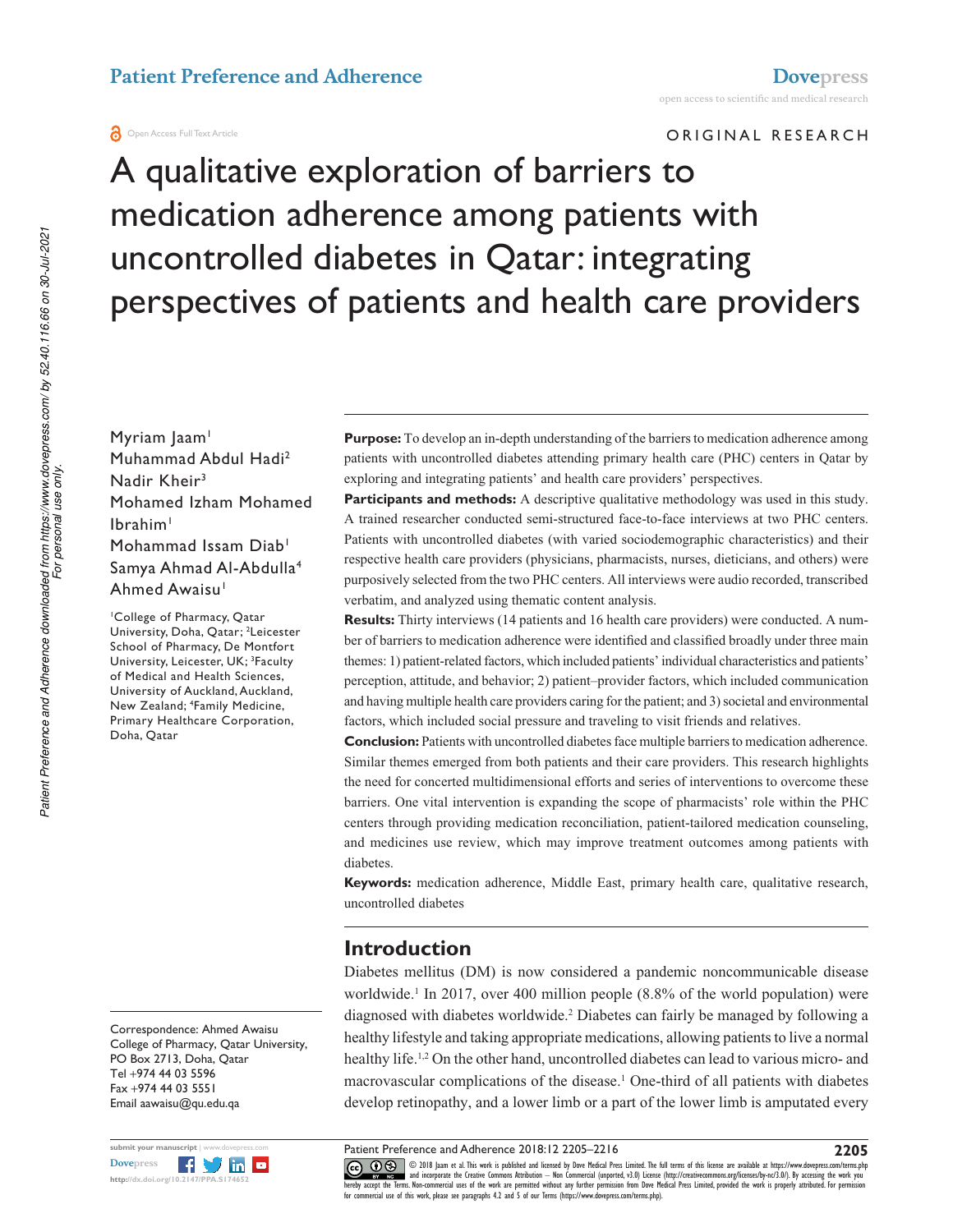### **a** Open Access Full Text Article

# A qualitative exploration of barriers to medication adherence among patients with uncontrolled diabetes in Qatar: integrating perspectives of patients and health care providers

Myriam Jaam<sup>1</sup> Muhammad Abdul Hadi<sup>2</sup> Nadir Kheir<sup>3</sup> Mohamed izham Mohamed ibrahim<sup>1</sup> Mohammad Issam Diab<sup>1</sup> samya Ahmad Al-Abdulla<sup>4</sup> Ahmed Awaisu<sup>1</sup>

<sup>1</sup>college of Pharmacy, Qatar University, Doha, Qatar; <sup>2</sup>Leicester school of Pharmacy, De Montfort University, leicester, UK; <sup>3</sup>Faculty of Medical and Health Sciences, University of Auckland, Auckland, New Zealand; <sup>4</sup>Family Medicine, Primary Healthcare Corporation, Doha, Qatar

correspondence: Ahmed Awaisu college of Pharmacy, Qatar University, PO Box 2713, Doha, Qatar Tel +974 44 03 5596 Fax +974 44 03 5551 email aawaisu@qu.edu.qa



**Purpose:** To develop an in-depth understanding of the barriers to medication adherence among patients with uncontrolled diabetes attending primary health care (PHC) centers in Qatar by exploring and integrating patients' and health care providers' perspectives.

**Participants and methods:** A descriptive qualitative methodology was used in this study. A trained researcher conducted semi-structured face-to-face interviews at two PHC centers. Patients with uncontrolled diabetes (with varied sociodemographic characteristics) and their respective health care providers (physicians, pharmacists, nurses, dieticians, and others) were purposively selected from the two PHC centers. All interviews were audio recorded, transcribed verbatim, and analyzed using thematic content analysis.

**Results:** Thirty interviews (14 patients and 16 health care providers) were conducted. A number of barriers to medication adherence were identified and classified broadly under three main themes: 1) patient-related factors, which included patients' individual characteristics and patients' perception, attitude, and behavior; 2) patient–provider factors, which included communication and having multiple health care providers caring for the patient; and 3) societal and environmental factors, which included social pressure and traveling to visit friends and relatives.

**Conclusion:** Patients with uncontrolled diabetes face multiple barriers to medication adherence. Similar themes emerged from both patients and their care providers. This research highlights the need for concerted multidimensional efforts and series of interventions to overcome these barriers. One vital intervention is expanding the scope of pharmacists' role within the PHC centers through providing medication reconciliation, patient-tailored medication counseling, and medicines use review, which may improve treatment outcomes among patients with diabetes.

**Keywords:** medication adherence, Middle East, primary health care, qualitative research, uncontrolled diabetes

# **Introduction**

Diabetes mellitus (DM) is now considered a pandemic noncommunicable disease worldwide.<sup>1</sup> In 2017, over 400 million people (8.8% of the world population) were diagnosed with diabetes worldwide.<sup>2</sup> Diabetes can fairly be managed by following a healthy lifestyle and taking appropriate medications, allowing patients to live a normal healthy life.<sup>1,2</sup> On the other hand, uncontrolled diabetes can lead to various micro- and macrovascular complications of the disease.<sup>1</sup> One-third of all patients with diabetes develop retinopathy, and a lower limb or a part of the lower limb is amputated every

Patient Preference and Adherence 2018:12 2205–2216

CO O S 2018 Jaam et al. This work is published and licensed by Dove Medical Press Limited. The full terms of this license are available at https://www.dovepress.com/terms.php<br>hereby accept the Terms. Non-commercial uses of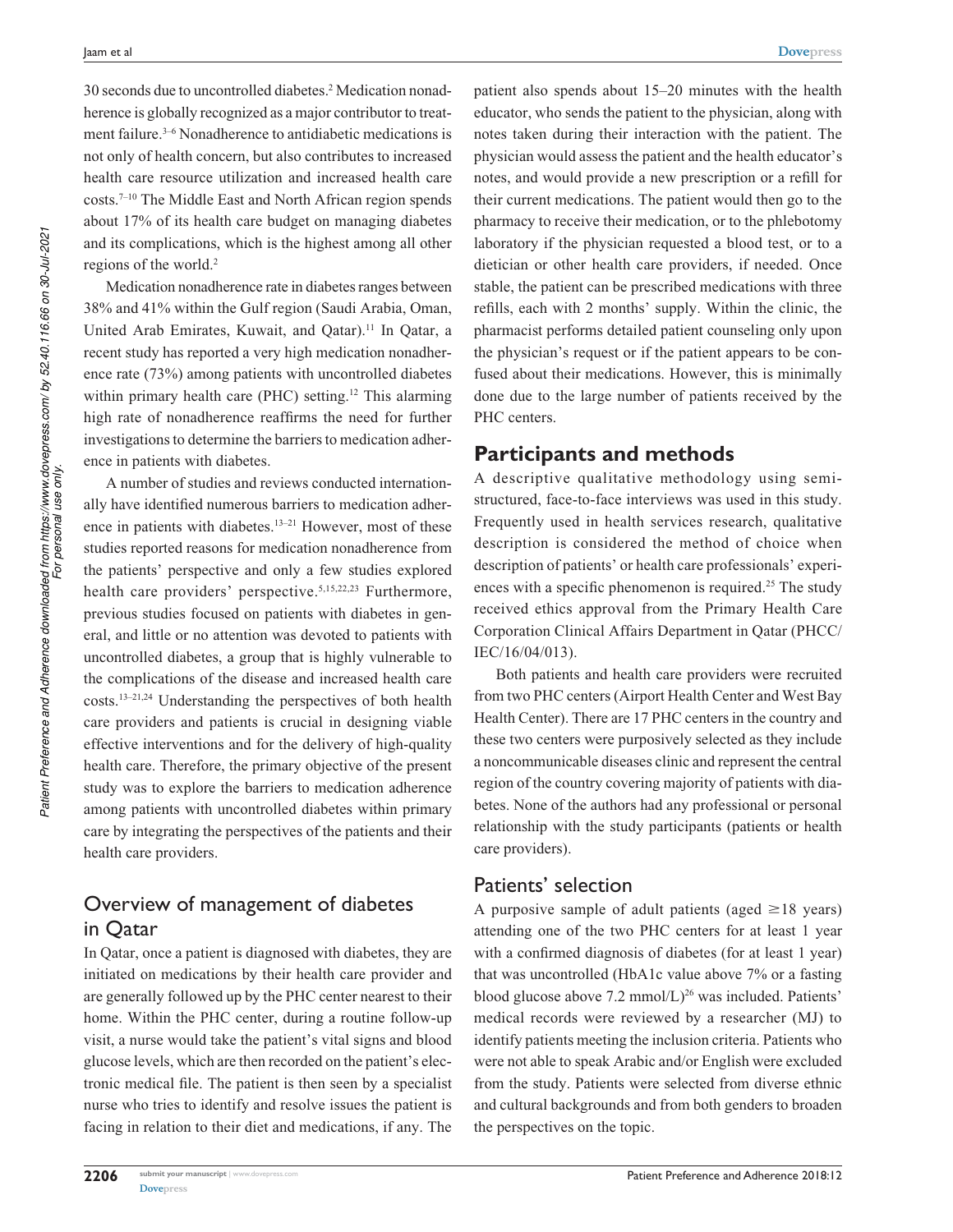30 seconds due to uncontrolled diabetes.<sup>2</sup> Medication nonadherence is globally recognized as a major contributor to treatment failure.<sup>3–6</sup> Nonadherence to antidiabetic medications is not only of health concern, but also contributes to increased health care resource utilization and increased health care costs.7–10 The Middle East and North African region spends about 17% of its health care budget on managing diabetes and its complications, which is the highest among all other regions of the world.<sup>2</sup>

Medication nonadherence rate in diabetes ranges between 38% and 41% within the Gulf region (Saudi Arabia, Oman, United Arab Emirates, Kuwait, and Qatar).<sup>11</sup> In Qatar, a recent study has reported a very high medication nonadherence rate (73%) among patients with uncontrolled diabetes within primary health care (PHC) setting.<sup>12</sup> This alarming high rate of nonadherence reaffirms the need for further investigations to determine the barriers to medication adherence in patients with diabetes.

A number of studies and reviews conducted internationally have identified numerous barriers to medication adherence in patients with diabetes.<sup>13-21</sup> However, most of these studies reported reasons for medication nonadherence from the patients' perspective and only a few studies explored health care providers' perspective.<sup>5,15,22,23</sup> Furthermore, previous studies focused on patients with diabetes in general, and little or no attention was devoted to patients with uncontrolled diabetes, a group that is highly vulnerable to the complications of the disease and increased health care costs.13–21,24 Understanding the perspectives of both health care providers and patients is crucial in designing viable effective interventions and for the delivery of high-quality health care. Therefore, the primary objective of the present study was to explore the barriers to medication adherence among patients with uncontrolled diabetes within primary care by integrating the perspectives of the patients and their health care providers.

# Overview of management of diabetes in Qatar

In Qatar, once a patient is diagnosed with diabetes, they are initiated on medications by their health care provider and are generally followed up by the PHC center nearest to their home. Within the PHC center, during a routine follow-up visit, a nurse would take the patient's vital signs and blood glucose levels, which are then recorded on the patient's electronic medical file. The patient is then seen by a specialist nurse who tries to identify and resolve issues the patient is facing in relation to their diet and medications, if any. The patient also spends about 15–20 minutes with the health educator, who sends the patient to the physician, along with notes taken during their interaction with the patient. The physician would assess the patient and the health educator's notes, and would provide a new prescription or a refill for their current medications. The patient would then go to the pharmacy to receive their medication, or to the phlebotomy laboratory if the physician requested a blood test, or to a dietician or other health care providers, if needed. Once stable, the patient can be prescribed medications with three refills, each with 2 months' supply. Within the clinic, the pharmacist performs detailed patient counseling only upon the physician's request or if the patient appears to be confused about their medications. However, this is minimally done due to the large number of patients received by the PHC centers.

# **Participants and methods**

A descriptive qualitative methodology using semistructured, face-to-face interviews was used in this study. Frequently used in health services research, qualitative description is considered the method of choice when description of patients' or health care professionals' experiences with a specific phenomenon is required.<sup>25</sup> The study received ethics approval from the Primary Health Care Corporation Clinical Affairs Department in Qatar (PHCC/ IEC/16/04/013).

Both patients and health care providers were recruited from two PHC centers (Airport Health Center and West Bay Health Center). There are 17 PHC centers in the country and these two centers were purposively selected as they include a noncommunicable diseases clinic and represent the central region of the country covering majority of patients with diabetes. None of the authors had any professional or personal relationship with the study participants (patients or health care providers).

# Patients' selection

A purposive sample of adult patients (aged  $\geq$ 18 years) attending one of the two PHC centers for at least 1 year with a confirmed diagnosis of diabetes (for at least 1 year) that was uncontrolled (HbA1c value above 7% or a fasting blood glucose above 7.2 mmol/L)<sup>26</sup> was included. Patients' medical records were reviewed by a researcher (MJ) to identify patients meeting the inclusion criteria. Patients who were not able to speak Arabic and/or English were excluded from the study. Patients were selected from diverse ethnic and cultural backgrounds and from both genders to broaden the perspectives on the topic.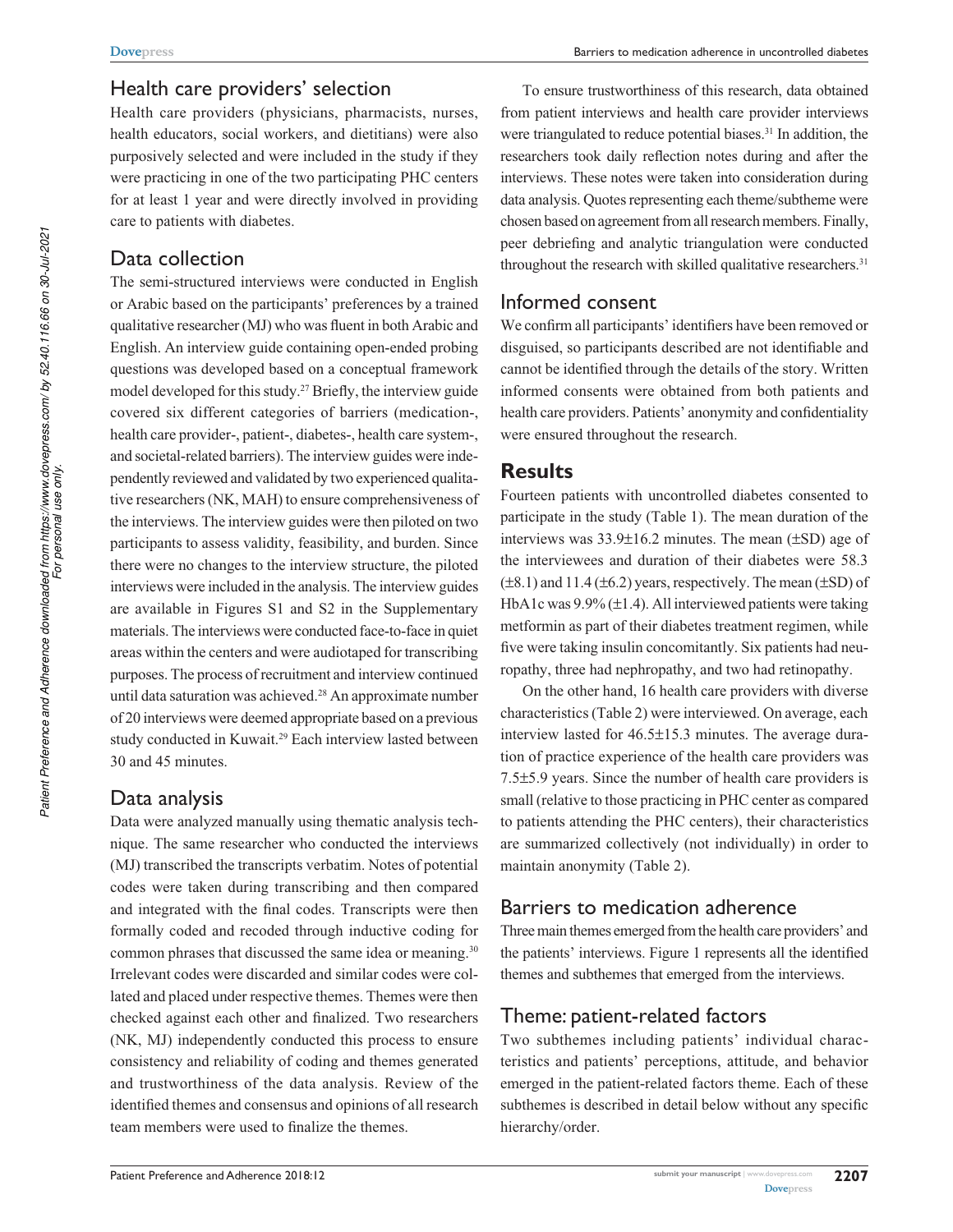### health care providers' selection

Health care providers (physicians, pharmacists, nurses, health educators, social workers, and dietitians) were also purposively selected and were included in the study if they were practicing in one of the two participating PHC centers for at least 1 year and were directly involved in providing care to patients with diabetes.

### Data collection

The semi-structured interviews were conducted in English or Arabic based on the participants' preferences by a trained qualitative researcher (MJ) who was fluent in both Arabic and English. An interview guide containing open-ended probing questions was developed based on a conceptual framework model developed for this study.27 Briefly, the interview guide covered six different categories of barriers (medication-, health care provider-, patient-, diabetes-, health care system-, and societal-related barriers). The interview guides were independently reviewed and validated by two experienced qualitative researchers (NK, MAH) to ensure comprehensiveness of the interviews. The interview guides were then piloted on two participants to assess validity, feasibility, and burden. Since there were no changes to the interview structure, the piloted interviews were included in the analysis. The interview guides are available in Figures S1 and S2 in the Supplementary materials. The interviews were conducted face-to-face in quiet areas within the centers and were audiotaped for transcribing purposes. The process of recruitment and interview continued until data saturation was achieved.28 An approximate number of 20 interviews were deemed appropriate based on a previous study conducted in Kuwait.<sup>29</sup> Each interview lasted between 30 and 45 minutes.

# Data analysis

Data were analyzed manually using thematic analysis technique. The same researcher who conducted the interviews (MJ) transcribed the transcripts verbatim. Notes of potential codes were taken during transcribing and then compared and integrated with the final codes. Transcripts were then formally coded and recoded through inductive coding for common phrases that discussed the same idea or meaning.<sup>30</sup> Irrelevant codes were discarded and similar codes were collated and placed under respective themes. Themes were then checked against each other and finalized. Two researchers (NK, MJ) independently conducted this process to ensure consistency and reliability of coding and themes generated and trustworthiness of the data analysis. Review of the identified themes and consensus and opinions of all research team members were used to finalize the themes.

To ensure trustworthiness of this research, data obtained from patient interviews and health care provider interviews were triangulated to reduce potential biases.<sup>31</sup> In addition, the researchers took daily reflection notes during and after the interviews. These notes were taken into consideration during data analysis. Quotes representing each theme/subtheme were chosen based on agreement from all research members. Finally, peer debriefing and analytic triangulation were conducted throughout the research with skilled qualitative researchers.<sup>31</sup>

### informed consent

We confirm all participants' identifiers have been removed or disguised, so participants described are not identifiable and cannot be identified through the details of the story. Written informed consents were obtained from both patients and health care providers. Patients' anonymity and confidentiality were ensured throughout the research.

# **Results**

Fourteen patients with uncontrolled diabetes consented to participate in the study (Table 1). The mean duration of the interviews was 33.9±16.2 minutes. The mean (±SD) age of the interviewees and duration of their diabetes were 58.3  $(\pm 8.1)$  and 11.4 ( $\pm 6.2$ ) years, respectively. The mean ( $\pm SD$ ) of HbA1c was 9.9% (±1.4). All interviewed patients were taking metformin as part of their diabetes treatment regimen, while five were taking insulin concomitantly. Six patients had neuropathy, three had nephropathy, and two had retinopathy.

On the other hand, 16 health care providers with diverse characteristics (Table 2) were interviewed. On average, each interview lasted for 46.5±15.3 minutes. The average duration of practice experience of the health care providers was 7.5±5.9 years. Since the number of health care providers is small (relative to those practicing in PHC center as compared to patients attending the PHC centers), their characteristics are summarized collectively (not individually) in order to maintain anonymity (Table 2).

# Barriers to medication adherence

Three main themes emerged from the health care providers' and the patients' interviews. Figure 1 represents all the identified themes and subthemes that emerged from the interviews.

# Theme: patient-related factors

Two subthemes including patients' individual characteristics and patients' perceptions, attitude, and behavior emerged in the patient-related factors theme. Each of these subthemes is described in detail below without any specific hierarchy/order.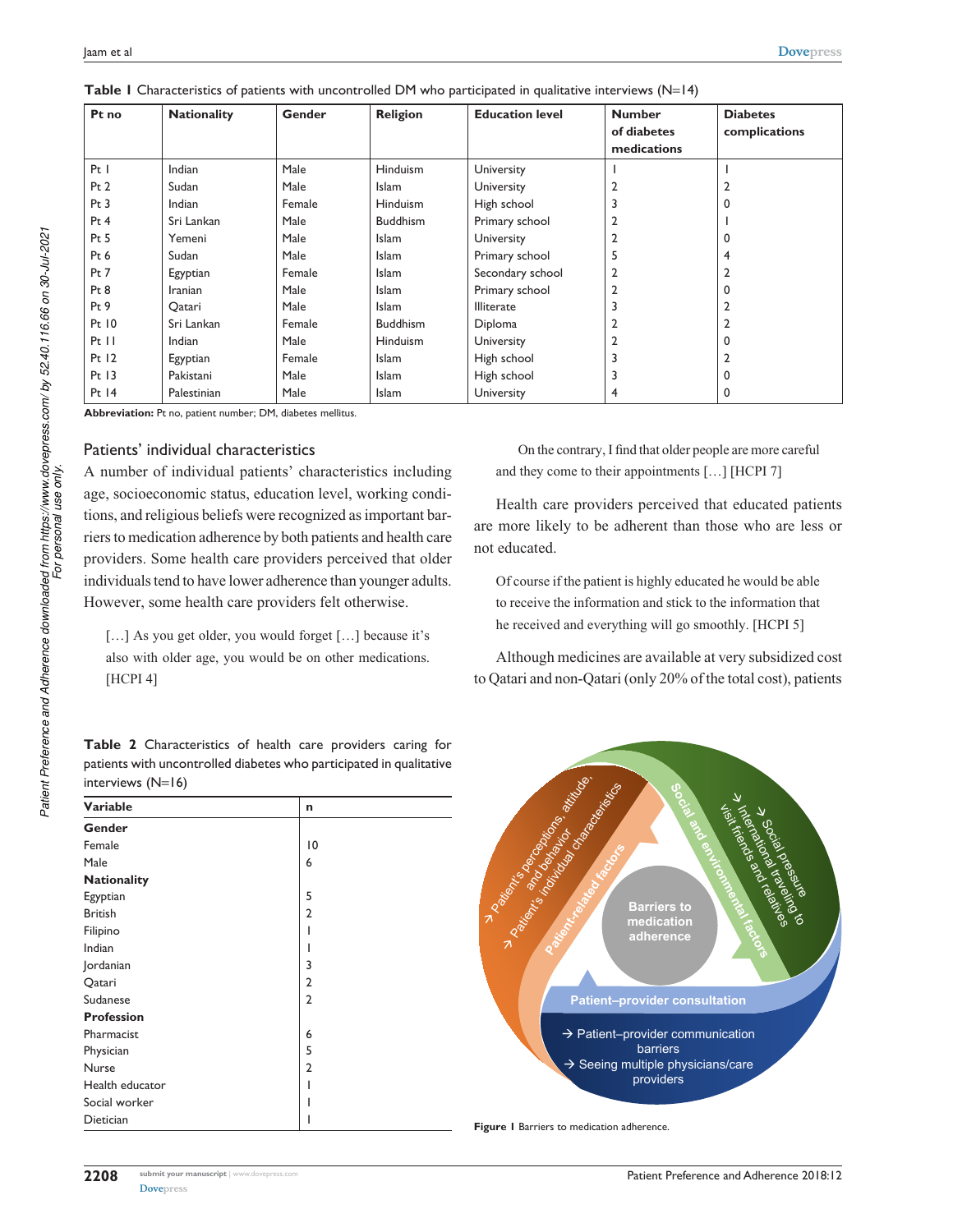| Pt no           | <b>Nationality</b> | Gender | Religion        | <b>Education level</b> | <b>Number</b><br>of diabetes<br>medications | <b>Diabetes</b><br>complications |
|-----------------|--------------------|--------|-----------------|------------------------|---------------------------------------------|----------------------------------|
| $Pt$            | Indian             | Male   | Hinduism        | University             |                                             |                                  |
| Pt 2            | Sudan              | Male   | <b>Islam</b>    | University             | 2                                           |                                  |
| Pt 3            | Indian             | Female | <b>Hinduism</b> | High school            | 3                                           | $\Omega$                         |
| Pt 4            | Sri Lankan         | Male   | <b>Buddhism</b> | Primary school         | 2                                           |                                  |
| Pt 5            | Yemeni             | Male   | <b>Islam</b>    | University             | $\overline{2}$                              | $\mathbf 0$                      |
| Pt 6            | Sudan              | Male   | Islam           | Primary school         | 5                                           | 4                                |
| Pt 7            | Egyptian           | Female | <b>Islam</b>    | Secondary school       | 2                                           | 2                                |
| Pt <sub>8</sub> | <b>Iranian</b>     | Male   | <b>Islam</b>    | Primary school         | $\overline{2}$                              | 0                                |
| Pt 9            | Qatari             | Male   | <b>Islam</b>    | <b>Illiterate</b>      | 3                                           | 2                                |
| Pt 10           | Sri Lankan         | Female | <b>Buddhism</b> | Diploma                | $\overline{2}$                              | 2                                |
| $Pt$ $II$       | Indian             | Male   | <b>Hinduism</b> | University             | $\overline{2}$                              | 0                                |
| Pt $12$         | Egyptian           | Female | <b>Islam</b>    | High school            | 3                                           | 2                                |
| Pt 13           | Pakistani          | Male   | Islam           | High school            | 3                                           | 0                                |
| Pt 14           | Palestinian        | Male   | Islam           | University             | 4                                           | 0                                |

**Table 1** Characteristics of patients with uncontrolled DM who participated in qualitative interviews (N=14)

**Abbreviation:** Pt no, patient number; DM, diabetes mellitus.

### Patients' individual characteristics

A number of individual patients' characteristics including age, socioeconomic status, education level, working conditions, and religious beliefs were recognized as important barriers to medication adherence by both patients and health care providers. Some health care providers perceived that older individuals tend to have lower adherence than younger adults. However, some health care providers felt otherwise.

[...] As you get older, you would forget [...] because it's also with older age, you would be on other medications. [HCPI<sub>4]</sub>

**Table 2** characteristics of health care providers caring for patients with uncontrolled diabetes who participated in qualitative interviews  $(N=16)$ 

| Variable           | n              |  |  |
|--------------------|----------------|--|--|
| Gender             |                |  |  |
| Female             | 10             |  |  |
| Male               | 6              |  |  |
| <b>Nationality</b> |                |  |  |
| Egyptian           | 5              |  |  |
| <b>British</b>     | $\overline{2}$ |  |  |
| Filipino           |                |  |  |
| Indian             | ı              |  |  |
| Jordanian          | 3              |  |  |
| Qatari             | $\overline{2}$ |  |  |
| Sudanese           | $\overline{2}$ |  |  |
| <b>Profession</b>  |                |  |  |
| Pharmacist         | 6              |  |  |
| Physician          | 5              |  |  |
| Nurse              | $\overline{2}$ |  |  |
| Health educator    | ı              |  |  |
| Social worker      | ı              |  |  |
| Dietician          |                |  |  |

On the contrary, I find that older people are more careful and they come to their appointments […] [HCPI 7]

Health care providers perceived that educated patients are more likely to be adherent than those who are less or not educated.

Of course if the patient is highly educated he would be able to receive the information and stick to the information that he received and everything will go smoothly. [HCPI 5]

Although medicines are available at very subsidized cost to Qatari and non-Qatari (only 20% of the total cost), patients



**Figure 1 Barriers to medication adherence.**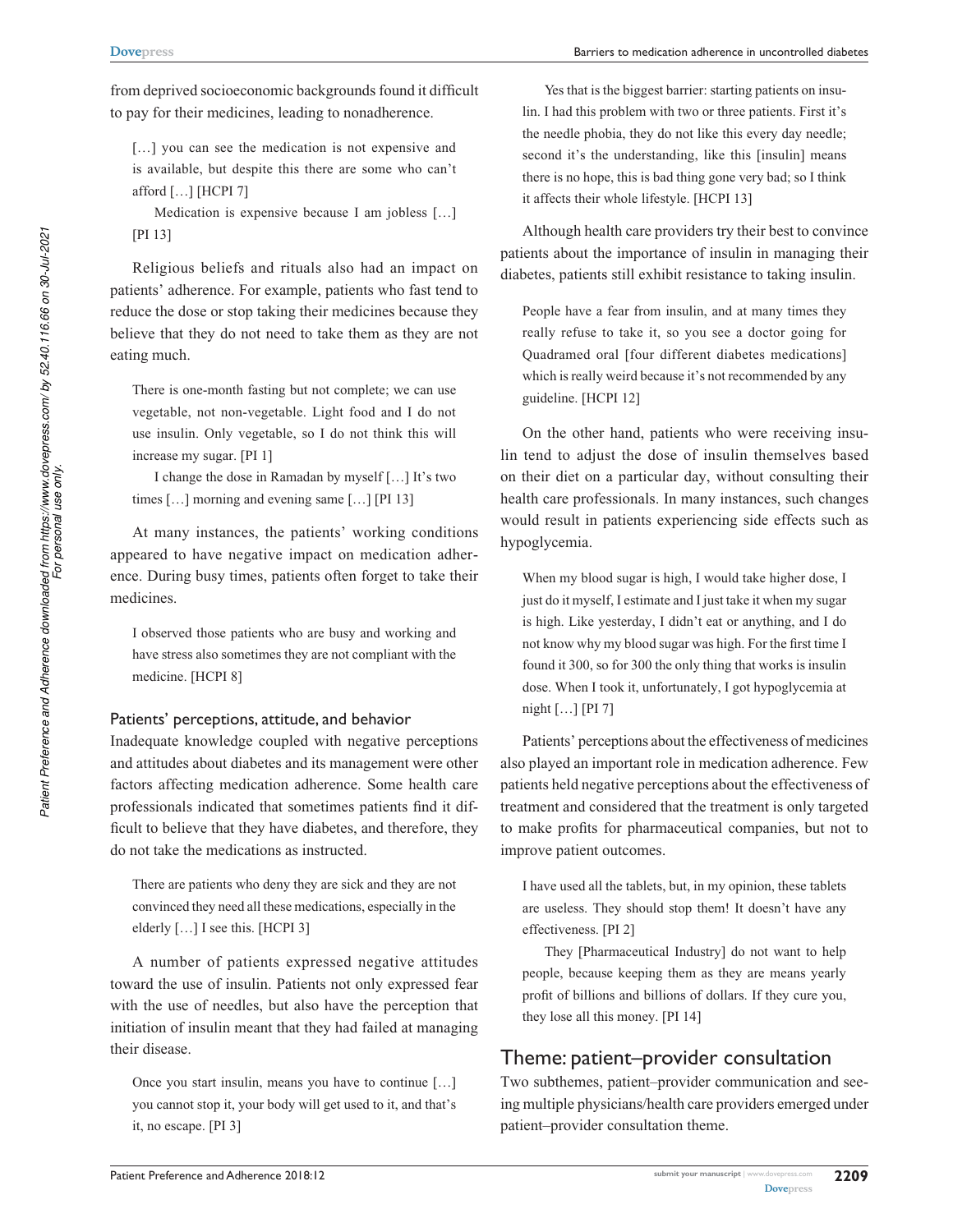from deprived socioeconomic backgrounds found it difficult to pay for their medicines, leading to nonadherence.

[...] you can see the medication is not expensive and is available, but despite this there are some who can't afford […] [HCPI 7]

Medication is expensive because I am jobless […] [PI 13]

Religious beliefs and rituals also had an impact on patients' adherence. For example, patients who fast tend to reduce the dose or stop taking their medicines because they believe that they do not need to take them as they are not eating much.

There is one-month fasting but not complete; we can use vegetable, not non-vegetable. Light food and I do not use insulin. Only vegetable, so I do not think this will increase my sugar. [PI 1]

I change the dose in Ramadan by myself […] It's two times […] morning and evening same […] [PI 13]

At many instances, the patients' working conditions appeared to have negative impact on medication adherence. During busy times, patients often forget to take their medicines.

I observed those patients who are busy and working and have stress also sometimes they are not compliant with the medicine. [HCPI 8]

### Patients' perceptions, attitude, and behavior

Inadequate knowledge coupled with negative perceptions and attitudes about diabetes and its management were other factors affecting medication adherence. Some health care professionals indicated that sometimes patients find it difficult to believe that they have diabetes, and therefore, they do not take the medications as instructed.

There are patients who deny they are sick and they are not convinced they need all these medications, especially in the elderly […] I see this. [HCPI 3]

A number of patients expressed negative attitudes toward the use of insulin. Patients not only expressed fear with the use of needles, but also have the perception that initiation of insulin meant that they had failed at managing their disease.

Once you start insulin, means you have to continue […] you cannot stop it, your body will get used to it, and that's it, no escape. [PI 3]

Yes that is the biggest barrier: starting patients on insulin. I had this problem with two or three patients. First it's the needle phobia, they do not like this every day needle; second it's the understanding, like this [insulin] means there is no hope, this is bad thing gone very bad; so I think it affects their whole lifestyle. [HCPI 13]

Although health care providers try their best to convince patients about the importance of insulin in managing their diabetes, patients still exhibit resistance to taking insulin.

People have a fear from insulin, and at many times they really refuse to take it, so you see a doctor going for Quadramed oral [four different diabetes medications] which is really weird because it's not recommended by any guideline. [HCPI 12]

On the other hand, patients who were receiving insulin tend to adjust the dose of insulin themselves based on their diet on a particular day, without consulting their health care professionals. In many instances, such changes would result in patients experiencing side effects such as hypoglycemia.

When my blood sugar is high, I would take higher dose, I just do it myself, I estimate and I just take it when my sugar is high. Like yesterday, I didn't eat or anything, and I do not know why my blood sugar was high. For the first time I found it 300, so for 300 the only thing that works is insulin dose. When I took it, unfortunately, I got hypoglycemia at night […] [PI 7]

Patients' perceptions about the effectiveness of medicines also played an important role in medication adherence. Few patients held negative perceptions about the effectiveness of treatment and considered that the treatment is only targeted to make profits for pharmaceutical companies, but not to improve patient outcomes.

I have used all the tablets, but, in my opinion, these tablets are useless. They should stop them! It doesn't have any effectiveness. [PI 2]

They [Pharmaceutical Industry] do not want to help people, because keeping them as they are means yearly profit of billions and billions of dollars. If they cure you, they lose all this money. [PI 14]

### Theme: patient–provider consultation

Two subthemes, patient–provider communication and seeing multiple physicians/health care providers emerged under patient–provider consultation theme.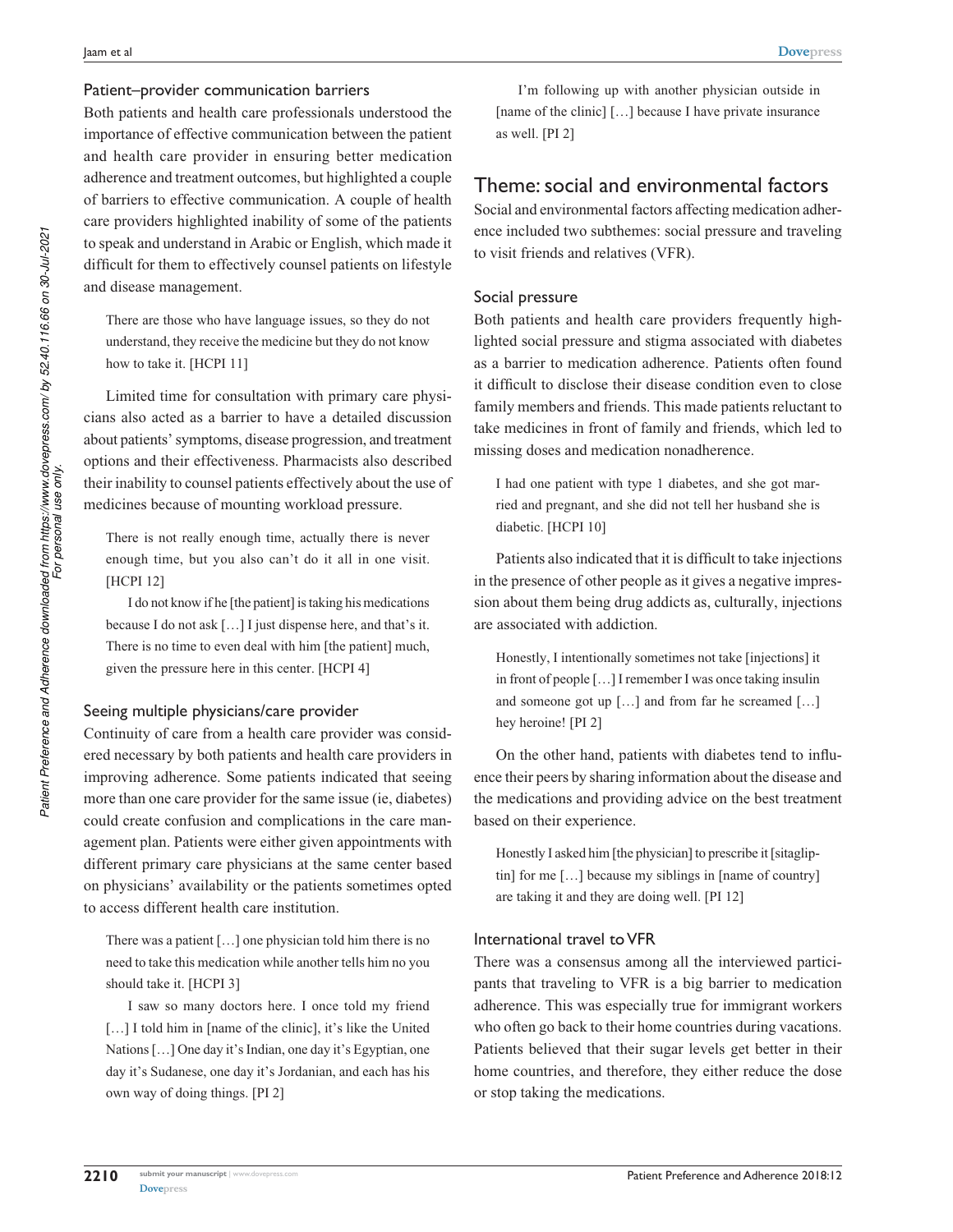### Patient–provider communication barriers

Both patients and health care professionals understood the importance of effective communication between the patient and health care provider in ensuring better medication adherence and treatment outcomes, but highlighted a couple of barriers to effective communication. A couple of health care providers highlighted inability of some of the patients to speak and understand in Arabic or English, which made it difficult for them to effectively counsel patients on lifestyle and disease management.

There are those who have language issues, so they do not understand, they receive the medicine but they do not know how to take it. [HCPI 11]

Limited time for consultation with primary care physicians also acted as a barrier to have a detailed discussion about patients' symptoms, disease progression, and treatment options and their effectiveness. Pharmacists also described their inability to counsel patients effectively about the use of medicines because of mounting workload pressure.

There is not really enough time, actually there is never enough time, but you also can't do it all in one visit. [HCPI 12]

I do not know if he [the patient] is taking his medications because I do not ask […] I just dispense here, and that's it. There is no time to even deal with him [the patient] much, given the pressure here in this center. [HCPI 4]

### Seeing multiple physicians/care provider

Continuity of care from a health care provider was considered necessary by both patients and health care providers in improving adherence. Some patients indicated that seeing more than one care provider for the same issue (ie, diabetes) could create confusion and complications in the care management plan. Patients were either given appointments with different primary care physicians at the same center based on physicians' availability or the patients sometimes opted to access different health care institution.

There was a patient […] one physician told him there is no need to take this medication while another tells him no you should take it. [HCPI 3]

I saw so many doctors here. I once told my friend [...] I told him in [name of the clinic], it's like the United Nations […] One day it's Indian, one day it's Egyptian, one day it's Sudanese, one day it's Jordanian, and each has his own way of doing things. [PI 2]

I'm following up with another physician outside in [name of the clinic] […] because I have private insurance as well. [PI 2]

### Theme: social and environmental factors

Social and environmental factors affecting medication adherence included two subthemes: social pressure and traveling to visit friends and relatives (VFR).

### social pressure

Both patients and health care providers frequently highlighted social pressure and stigma associated with diabetes as a barrier to medication adherence. Patients often found it difficult to disclose their disease condition even to close family members and friends. This made patients reluctant to take medicines in front of family and friends, which led to missing doses and medication nonadherence.

I had one patient with type 1 diabetes, and she got married and pregnant, and she did not tell her husband she is diabetic. [HCPI 10]

Patients also indicated that it is difficult to take injections in the presence of other people as it gives a negative impression about them being drug addicts as, culturally, injections are associated with addiction.

Honestly, I intentionally sometimes not take [injections] it in front of people […] I remember I was once taking insulin and someone got up […] and from far he screamed […] hey heroine! [PI 2]

On the other hand, patients with diabetes tend to influence their peers by sharing information about the disease and the medications and providing advice on the best treatment based on their experience.

Honestly I asked him [the physician] to prescribe it [sitagliptin] for me […] because my siblings in [name of country] are taking it and they are doing well. [PI 12]

### International travel to VFR

There was a consensus among all the interviewed participants that traveling to VFR is a big barrier to medication adherence. This was especially true for immigrant workers who often go back to their home countries during vacations. Patients believed that their sugar levels get better in their home countries, and therefore, they either reduce the dose or stop taking the medications.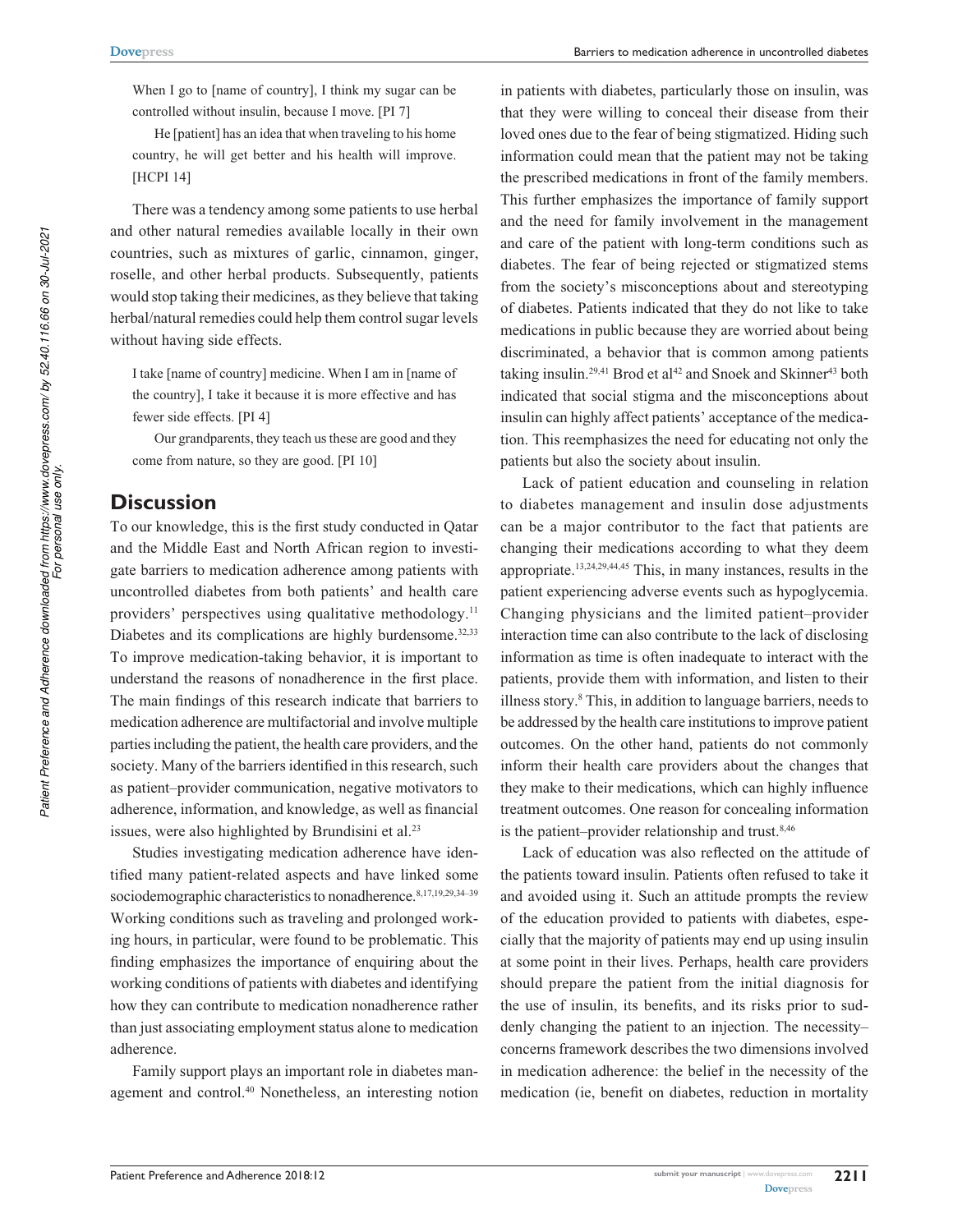When I go to [name of country], I think my sugar can be controlled without insulin, because I move. [PI 7]

He [patient] has an idea that when traveling to his home country, he will get better and his health will improve. [HCPI 14]

There was a tendency among some patients to use herbal and other natural remedies available locally in their own countries, such as mixtures of garlic, cinnamon, ginger, roselle, and other herbal products. Subsequently, patients would stop taking their medicines, as they believe that taking herbal/natural remedies could help them control sugar levels without having side effects.

I take [name of country] medicine. When I am in [name of the country], I take it because it is more effective and has fewer side effects. [PI 4]

Our grandparents, they teach us these are good and they come from nature, so they are good. [PI 10]

### **Discussion**

To our knowledge, this is the first study conducted in Qatar and the Middle East and North African region to investigate barriers to medication adherence among patients with uncontrolled diabetes from both patients' and health care providers' perspectives using qualitative methodology.<sup>11</sup> Diabetes and its complications are highly burdensome.<sup>32,33</sup> To improve medication-taking behavior, it is important to understand the reasons of nonadherence in the first place. The main findings of this research indicate that barriers to medication adherence are multifactorial and involve multiple parties including the patient, the health care providers, and the society. Many of the barriers identified in this research, such as patient–provider communication, negative motivators to adherence, information, and knowledge, as well as financial issues, were also highlighted by Brundisini et al.<sup>23</sup>

Studies investigating medication adherence have identified many patient-related aspects and have linked some sociodemographic characteristics to nonadherence.<sup>8,17,19,29,34-39</sup> Working conditions such as traveling and prolonged working hours, in particular, were found to be problematic. This finding emphasizes the importance of enquiring about the working conditions of patients with diabetes and identifying how they can contribute to medication nonadherence rather than just associating employment status alone to medication adherence.

Family support plays an important role in diabetes management and control.40 Nonetheless, an interesting notion in patients with diabetes, particularly those on insulin, was that they were willing to conceal their disease from their loved ones due to the fear of being stigmatized. Hiding such information could mean that the patient may not be taking the prescribed medications in front of the family members. This further emphasizes the importance of family support and the need for family involvement in the management and care of the patient with long-term conditions such as diabetes. The fear of being rejected or stigmatized stems from the society's misconceptions about and stereotyping of diabetes. Patients indicated that they do not like to take medications in public because they are worried about being discriminated, a behavior that is common among patients taking insulin.<sup>29,41</sup> Brod et al<sup>42</sup> and Snoek and Skinner<sup>43</sup> both indicated that social stigma and the misconceptions about insulin can highly affect patients' acceptance of the medication. This reemphasizes the need for educating not only the patients but also the society about insulin.

Lack of patient education and counseling in relation to diabetes management and insulin dose adjustments can be a major contributor to the fact that patients are changing their medications according to what they deem appropriate.13,24,29,44,45 This, in many instances, results in the patient experiencing adverse events such as hypoglycemia. Changing physicians and the limited patient–provider interaction time can also contribute to the lack of disclosing information as time is often inadequate to interact with the patients, provide them with information, and listen to their illness story.<sup>8</sup> This, in addition to language barriers, needs to be addressed by the health care institutions to improve patient outcomes. On the other hand, patients do not commonly inform their health care providers about the changes that they make to their medications, which can highly influence treatment outcomes. One reason for concealing information is the patient–provider relationship and trust. $8,46$ 

Lack of education was also reflected on the attitude of the patients toward insulin. Patients often refused to take it and avoided using it. Such an attitude prompts the review of the education provided to patients with diabetes, especially that the majority of patients may end up using insulin at some point in their lives. Perhaps, health care providers should prepare the patient from the initial diagnosis for the use of insulin, its benefits, and its risks prior to suddenly changing the patient to an injection. The necessity– concerns framework describes the two dimensions involved in medication adherence: the belief in the necessity of the medication (ie, benefit on diabetes, reduction in mortality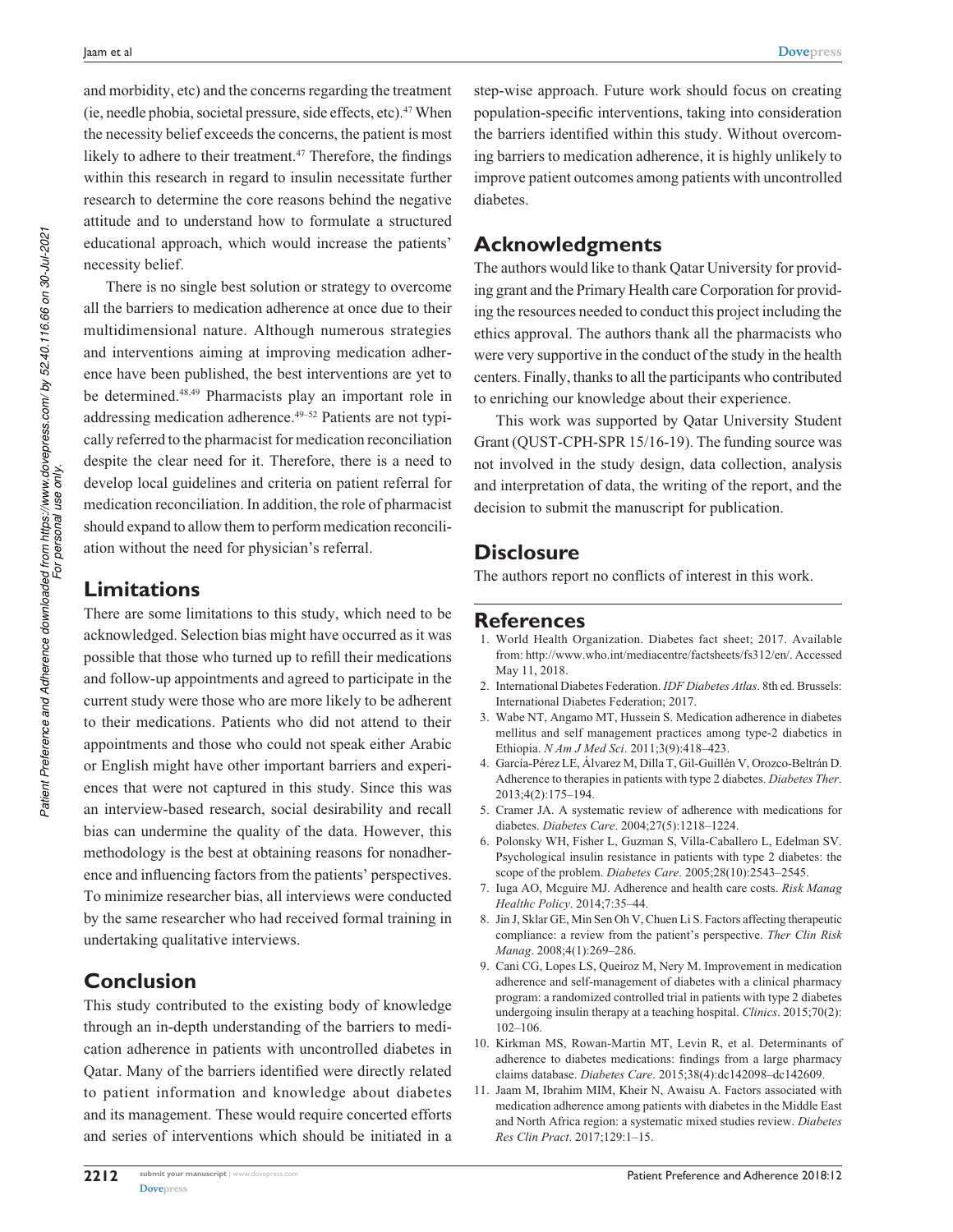and morbidity, etc) and the concerns regarding the treatment (ie, needle phobia, societal pressure, side effects, etc).47 When the necessity belief exceeds the concerns, the patient is most likely to adhere to their treatment.<sup>47</sup> Therefore, the findings within this research in regard to insulin necessitate further research to determine the core reasons behind the negative attitude and to understand how to formulate a structured educational approach, which would increase the patients' necessity belief.

There is no single best solution or strategy to overcome all the barriers to medication adherence at once due to their multidimensional nature. Although numerous strategies and interventions aiming at improving medication adherence have been published, the best interventions are yet to be determined.48,49 Pharmacists play an important role in addressing medication adherence.<sup>49-52</sup> Patients are not typically referred to the pharmacist for medication reconciliation despite the clear need for it. Therefore, there is a need to develop local guidelines and criteria on patient referral for medication reconciliation. In addition, the role of pharmacist should expand to allow them to perform medication reconciliation without the need for physician's referral.

### **Limitations**

There are some limitations to this study, which need to be acknowledged. Selection bias might have occurred as it was possible that those who turned up to refill their medications and follow-up appointments and agreed to participate in the current study were those who are more likely to be adherent to their medications. Patients who did not attend to their appointments and those who could not speak either Arabic or English might have other important barriers and experiences that were not captured in this study. Since this was an interview-based research, social desirability and recall bias can undermine the quality of the data. However, this methodology is the best at obtaining reasons for nonadherence and influencing factors from the patients' perspectives. To minimize researcher bias, all interviews were conducted by the same researcher who had received formal training in undertaking qualitative interviews.

# **Conclusion**

This study contributed to the existing body of knowledge through an in-depth understanding of the barriers to medication adherence in patients with uncontrolled diabetes in Qatar. Many of the barriers identified were directly related to patient information and knowledge about diabetes and its management. These would require concerted efforts and series of interventions which should be initiated in a step-wise approach. Future work should focus on creating population-specific interventions, taking into consideration the barriers identified within this study. Without overcoming barriers to medication adherence, it is highly unlikely to improve patient outcomes among patients with uncontrolled diabetes.

# **Acknowledgments**

The authors would like to thank Qatar University for providing grant and the Primary Health care Corporation for providing the resources needed to conduct this project including the ethics approval. The authors thank all the pharmacists who were very supportive in the conduct of the study in the health centers. Finally, thanks to all the participants who contributed to enriching our knowledge about their experience.

This work was supported by Qatar University Student Grant (QUST-CPH-SPR 15/16-19). The funding source was not involved in the study design, data collection, analysis and interpretation of data, the writing of the report, and the decision to submit the manuscript for publication.

# **Disclosure**

The authors report no conflicts of interest in this work.

### **References**

- 1. World Health Organization. Diabetes fact sheet; 2017. Available from: http://www.who.int/mediacentre/factsheets/fs312/en/. Accessed May 11, 2018.
- 2. International Diabetes Federation. *IDF Diabetes Atlas*. 8th ed. Brussels: International Diabetes Federation; 2017.
- 3. Wabe NT, Angamo MT, Hussein S. Medication adherence in diabetes mellitus and self management practices among type-2 diabetics in Ethiopia. *N Am J Med Sci*. 2011;3(9):418–423.
- 4. García-Pérez LE, Álvarez M, Dilla T, Gil-Guillén V, Orozco-Beltrán D. Adherence to therapies in patients with type 2 diabetes. *Diabetes Ther*. 2013;4(2):175–194.
- 5. Cramer JA. A systematic review of adherence with medications for diabetes. *Diabetes Care*. 2004;27(5):1218–1224.
- 6. Polonsky WH, Fisher L, Guzman S, Villa-Caballero L, Edelman SV. Psychological insulin resistance in patients with type 2 diabetes: the scope of the problem. *Diabetes Care*. 2005;28(10):2543–2545.
- 7. Iuga AO, Mcguire MJ. Adherence and health care costs. *Risk Manag Healthc Policy*. 2014;7:35–44.
- 8. Jin J, Sklar GE, Min Sen Oh V, Chuen Li S. Factors affecting therapeutic compliance: a review from the patient's perspective. *Ther Clin Risk Manag*. 2008;4(1):269–286.
- 9. Cani CG, Lopes LS, Queiroz M, Nery M. Improvement in medication adherence and self-management of diabetes with a clinical pharmacy program: a randomized controlled trial in patients with type 2 diabetes undergoing insulin therapy at a teaching hospital. *Clinics*. 2015;70(2): 102–106.
- 10. Kirkman MS, Rowan-Martin MT, Levin R, et al. Determinants of adherence to diabetes medications: findings from a large pharmacy claims database. *Diabetes Care*. 2015;38(4):dc142098–dc142609.
- 11. Jaam M, Ibrahim MIM, Kheir N, Awaisu A. Factors associated with medication adherence among patients with diabetes in the Middle East and North Africa region: a systematic mixed studies review. *Diabetes Res Clin Pract*. 2017;129:1–15.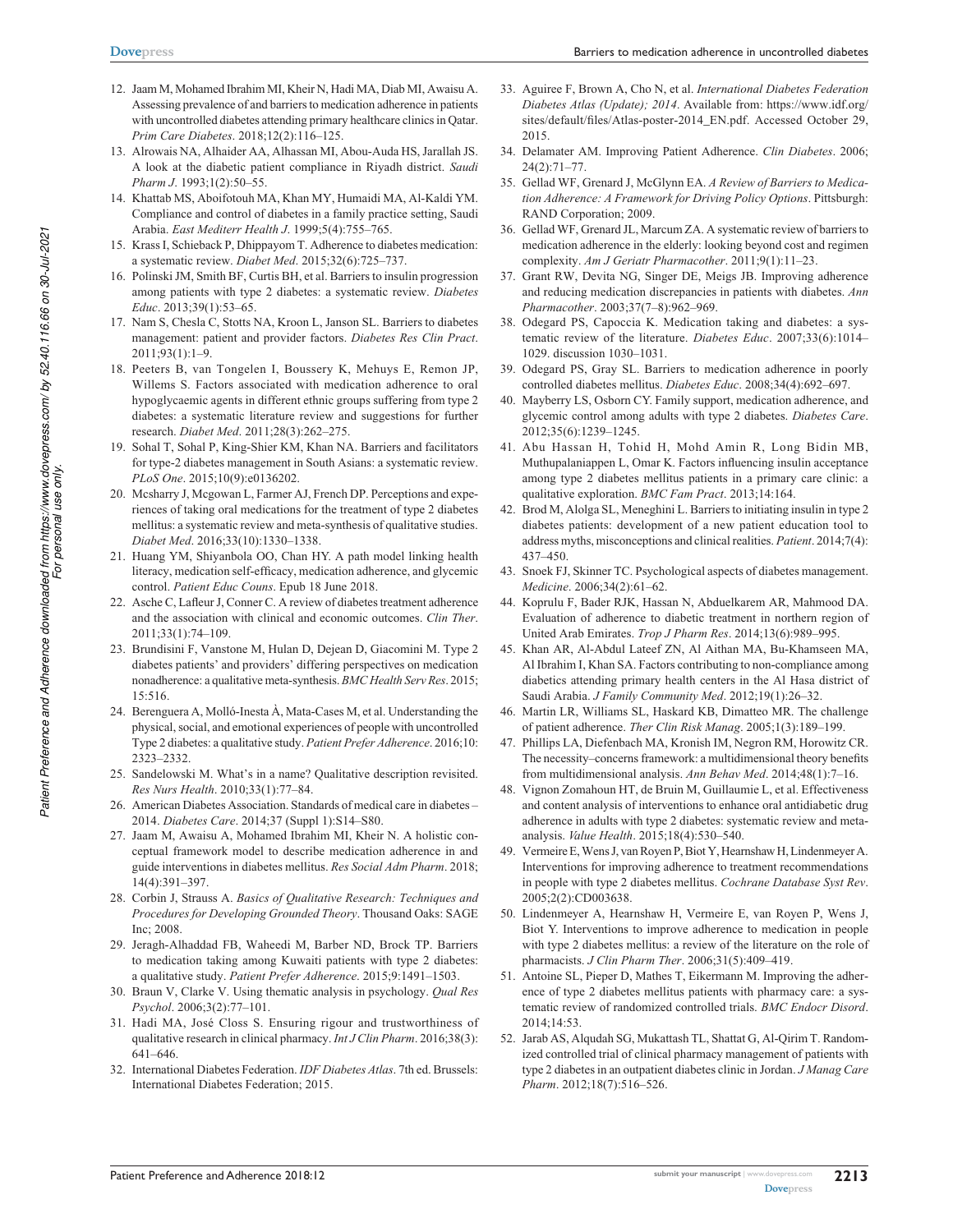- 12. Jaam M, Mohamed Ibrahim MI, Kheir N, Hadi MA, Diab MI, Awaisu A. Assessing prevalence of and barriers to medication adherence in patients with uncontrolled diabetes attending primary healthcare clinics in Qatar. *Prim Care Diabetes*. 2018;12(2):116–125.
- 13. Alrowais NA, Alhaider AA, Alhassan MI, Abou-Auda HS, Jarallah JS. A look at the diabetic patient compliance in Riyadh district. *Saudi Pharm J*. 1993;1(2):50–55.
- 14. Khattab MS, Aboifotouh MA, Khan MY, Humaidi MA, Al-Kaldi YM. Compliance and control of diabetes in a family practice setting, Saudi Arabia. *East Mediterr Health J*. 1999;5(4):755–765.
- 15. Krass I, Schieback P, Dhippayom T. Adherence to diabetes medication: a systematic review. *Diabet Med*. 2015;32(6):725–737.
- 16. Polinski JM, Smith BF, Curtis BH, et al. Barriers to insulin progression among patients with type 2 diabetes: a systematic review. *Diabetes Educ*. 2013;39(1):53–65.
- 17. Nam S, Chesla C, Stotts NA, Kroon L, Janson SL. Barriers to diabetes management: patient and provider factors. *Diabetes Res Clin Pract*. 2011;93(1):1–9.
- 18. Peeters B, van Tongelen I, Boussery K, Mehuys E, Remon JP, Willems S. Factors associated with medication adherence to oral hypoglycaemic agents in different ethnic groups suffering from type 2 diabetes: a systematic literature review and suggestions for further research. *Diabet Med*. 2011;28(3):262–275.
- 19. Sohal T, Sohal P, King-Shier KM, Khan NA. Barriers and facilitators for type-2 diabetes management in South Asians: a systematic review. *PLoS One*. 2015;10(9):e0136202.
- 20. Mcsharry J, Mcgowan L, Farmer AJ, French DP. Perceptions and experiences of taking oral medications for the treatment of type 2 diabetes mellitus: a systematic review and meta-synthesis of qualitative studies. *Diabet Med*. 2016;33(10):1330–1338.
- 21. Huang YM, Shiyanbola OO, Chan HY. A path model linking health literacy, medication self-efficacy, medication adherence, and glycemic control. *Patient Educ Couns*. Epub 18 June 2018.
- 22. Asche C, Lafleur J, Conner C. A review of diabetes treatment adherence and the association with clinical and economic outcomes. *Clin Ther*. 2011;33(1):74–109.
- 23. Brundisini F, Vanstone M, Hulan D, Dejean D, Giacomini M. Type 2 diabetes patients' and providers' differing perspectives on medication nonadherence: a qualitative meta-synthesis. *BMC Health Serv Res*. 2015; 15:516.
- 24. Berenguera A, Molló-Inesta À, Mata-Cases M, et al. Understanding the physical, social, and emotional experiences of people with uncontrolled Type 2 diabetes: a qualitative study. *Patient Prefer Adherence*. 2016;10: 2323–2332.
- 25. Sandelowski M. What's in a name? Qualitative description revisited. *Res Nurs Health*. 2010;33(1):77–84.
- 26. American Diabetes Association. Standards of medical care in diabetes 2014. *Diabetes Care*. 2014;37 (Suppl 1):S14–S80.
- 27. Jaam M, Awaisu A, Mohamed Ibrahim MI, Kheir N. A holistic conceptual framework model to describe medication adherence in and guide interventions in diabetes mellitus. *Res Social Adm Pharm*. 2018; 14(4):391–397.
- 28. Corbin J, Strauss A. *Basics of Qualitative Research: Techniques and Procedures for Developing Grounded Theory*. Thousand Oaks: SAGE Inc; 2008.
- 29. Jeragh-Alhaddad FB, Waheedi M, Barber ND, Brock TP. Barriers to medication taking among Kuwaiti patients with type 2 diabetes: a qualitative study. *Patient Prefer Adherence*. 2015;9:1491–1503.
- 30. Braun V, Clarke V. Using thematic analysis in psychology. *Qual Res Psychol*. 2006;3(2):77–101.
- 31. Hadi MA, José Closs S. Ensuring rigour and trustworthiness of qualitative research in clinical pharmacy. *Int J Clin Pharm*. 2016;38(3): 641–646.
- 32. International Diabetes Federation. *IDF Diabetes Atlas*. 7th ed. Brussels: International Diabetes Federation; 2015.
- 33. Aguiree F, Brown A, Cho N, et al. *International Diabetes Federation Diabetes Atlas (Update); 2014*. Available from: https://www.idf.org/ sites/default/files/Atlas-poster-2014\_EN.pdf. Accessed October 29, 2015.
- 34. Delamater AM. Improving Patient Adherence. *Clin Diabetes*. 2006; 24(2):71–77.
- 35. Gellad WF, Grenard J, McGlynn EA. *A Review of Barriers to Medication Adherence: A Framework for Driving Policy Options*. Pittsburgh: RAND Corporation; 2009.
- 36. Gellad WF, Grenard JL, Marcum ZA. A systematic review of barriers to medication adherence in the elderly: looking beyond cost and regimen complexity. *Am J Geriatr Pharmacother*. 2011;9(1):11–23.
- 37. Grant RW, Devita NG, Singer DE, Meigs JB. Improving adherence and reducing medication discrepancies in patients with diabetes. *Ann Pharmacother*. 2003;37(7–8):962–969.
- 38. Odegard PS, Capoccia K. Medication taking and diabetes: a systematic review of the literature. *Diabetes Educ*. 2007;33(6):1014– 1029. discussion 1030–1031.
- 39. Odegard PS, Gray SL. Barriers to medication adherence in poorly controlled diabetes mellitus. *Diabetes Educ*. 2008;34(4):692–697.
- 40. Mayberry LS, Osborn CY. Family support, medication adherence, and glycemic control among adults with type 2 diabetes. *Diabetes Care*. 2012;35(6):1239–1245.
- 41. Abu Hassan H, Tohid H, Mohd Amin R, Long Bidin MB, Muthupalaniappen L, Omar K. Factors influencing insulin acceptance among type 2 diabetes mellitus patients in a primary care clinic: a qualitative exploration. *BMC Fam Pract*. 2013;14:164.
- 42. Brod M, Alolga SL, Meneghini L. Barriers to initiating insulin in type 2 diabetes patients: development of a new patient education tool to address myths, misconceptions and clinical realities. *Patient*. 2014;7(4): 437–450.
- 43. Snoek FJ, Skinner TC. Psychological aspects of diabetes management. *Medicine*. 2006;34(2):61–62.
- 44. Koprulu F, Bader RJK, Hassan N, Abduelkarem AR, Mahmood DA. Evaluation of adherence to diabetic treatment in northern region of United Arab Emirates. *Trop J Pharm Res*. 2014;13(6):989–995.
- 45. Khan AR, Al-Abdul Lateef ZN, Al Aithan MA, Bu-Khamseen MA, Al Ibrahim I, Khan SA. Factors contributing to non-compliance among diabetics attending primary health centers in the Al Hasa district of Saudi Arabia. *J Family Community Med*. 2012;19(1):26–32.
- 46. Martin LR, Williams SL, Haskard KB, Dimatteo MR. The challenge of patient adherence. *Ther Clin Risk Manag*. 2005;1(3):189–199.
- 47. Phillips LA, Diefenbach MA, Kronish IM, Negron RM, Horowitz CR. The necessity–concerns framework: a multidimensional theory benefits from multidimensional analysis. *Ann Behav Med*. 2014;48(1):7–16.
- 48. Vignon Zomahoun HT, de Bruin M, Guillaumie L, et al. Effectiveness and content analysis of interventions to enhance oral antidiabetic drug adherence in adults with type 2 diabetes: systematic review and metaanalysis. *Value Health*. 2015;18(4):530–540.
- 49. Vermeire E, Wens J, van Royen P, Biot Y, Hearnshaw H, Lindenmeyer A. Interventions for improving adherence to treatment recommendations in people with type 2 diabetes mellitus. *Cochrane Database Syst Rev*. 2005;2(2):CD003638.
- 50. Lindenmeyer A, Hearnshaw H, Vermeire E, van Royen P, Wens J, Biot Y. Interventions to improve adherence to medication in people with type 2 diabetes mellitus: a review of the literature on the role of pharmacists. *J Clin Pharm Ther*. 2006;31(5):409–419.
- 51. Antoine SL, Pieper D, Mathes T, Eikermann M. Improving the adherence of type 2 diabetes mellitus patients with pharmacy care: a systematic review of randomized controlled trials. *BMC Endocr Disord*. 2014;14:53.
- 52. Jarab AS, Alqudah SG, Mukattash TL, Shattat G, Al-Qirim T. Randomized controlled trial of clinical pharmacy management of patients with type 2 diabetes in an outpatient diabetes clinic in Jordan. *J Manag Care Pharm*. 2012;18(7):516–526.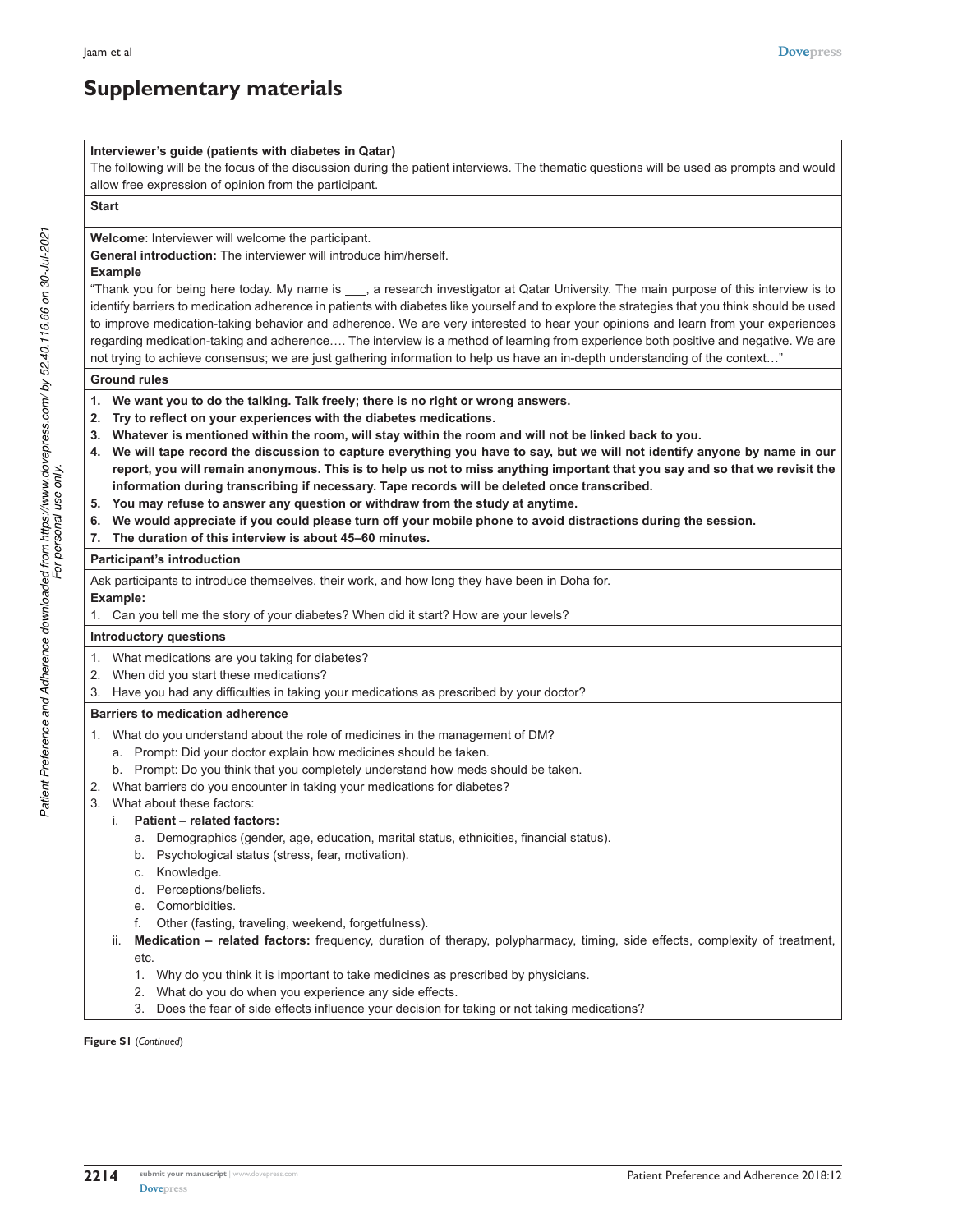# **Supplementary materials**

The following will be the focus of the discussion during the patient interviews. The thematic questions will be used as prompts and would allow free expression of opinion from the participant.

### **Start**

**Welcome**: Interviewer will welcome the participant.

**General introduction:** The interviewer will introduce him/herself.

### **Example**

"Thank you for being here today. My name is \_\_\_, a research investigator at Qatar University. The main purpose of this interview is to identify barriers to medication adherence in patients with diabetes like yourself and to explore the strategies that you think should be used to improve medication-taking behavior and adherence. We are very interested to hear your opinions and learn from your experiences regarding medication-taking and adherence…. The interview is a method of learning from experience both positive and negative. We are not trying to achieve consensus; we are just gathering information to help us have an in-depth understanding of the context…"

### **Ground rules**

- **1. We want you to do the talking. Talk freely; there is no right or wrong answers.**
- 2. Try to reflect on your experiences with the diabetes medications.
- **3. Whatever is mentioned within the room, will stay within the room and will not be linked back to you.**
- **4. We will tape record the discussion to capture everything you have to say, but we will not identify anyone by name in our report, you will remain anonymous. This is to help us not to miss anything important that you say and so that we revisit the information during transcribing if necessary. Tape records will be deleted once transcribed.**
- **5. You may refuse to answer any question or withdraw from the study at anytime.**
- **6. We would appreciate if you could please turn off your mobile phone to avoid distractions during the session.**
- **7. The duration of this interview is about 45–60 minutes.**

### **Participant's introduction**

Ask participants to introduce themselves, their work, and how long they have been in Doha for.

### **Example:**

1. Can you tell me the story of your diabetes? When did it start? How are your levels?

### **Introductory questions**

- 1. What medications are you taking for diabetes?
- 2. When did you start these medications?
- 3. Have you had any difficulties in taking your medications as prescribed by your doctor?

### **Barriers to medication adherence**

- 1. What do you understand about the role of medicines in the management of DM?
	- a. Prompt: Did your doctor explain how medicines should be taken.
	- b. Prompt: Do you think that you completely understand how meds should be taken.
- 2. What barriers do you encounter in taking your medications for diabetes?
- 3. What about these factors:

### i. **Patient – related factors:**

- a. Demographics (gender, age, education, marital status, ethnicities, financial status).
- b. Psychological status (stress, fear, motivation).
- c. Knowledge.
- d. Perceptions/beliefs.
- e. Comorbidities.
- f. Other (fasting, traveling, weekend, forgetfulness).
- ii. **Medication related factors:** frequency, duration of therapy, polypharmacy, timing, side effects, complexity of treatment, etc.
	- 1. Why do you think it is important to take medicines as prescribed by physicians.
	- 2. What do you do when you experience any side effects.
	- 3. Does the fear of side effects influence your decision for taking or not taking medications?

**Figure S1** (*Continued*)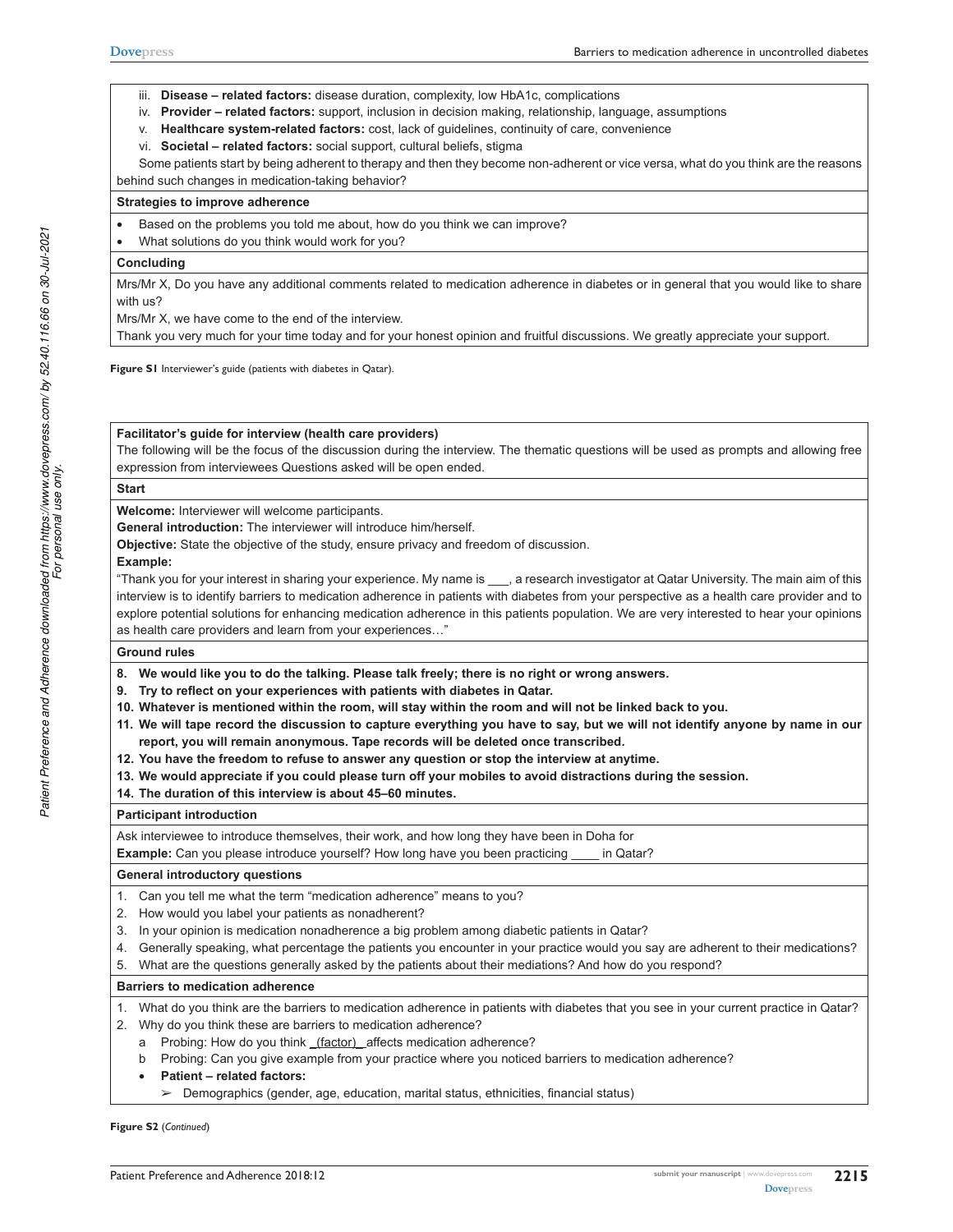- iii. **Disease related factors:** disease duration, complexity, low HbA1c, complications
- iv. **Provider related factors:** support, inclusion in decision making, relationship, language, assumptions
- v. **Healthcare system-related factors:** cost, lack of guidelines, continuity of care, convenience
- vi. **Societal related factors:** social support, cultural beliefs, stigma

Some patients start by being adherent to therapy and then they become non-adherent or vice versa, what do you think are the reasons behind such changes in medication-taking behavior?

**Strategies to improve adherence** 

- Based on the problems you told me about, how do you think we can improve?
- What solutions do you think would work for you?

### **Concluding**

Mrs/Mr X, Do you have any additional comments related to medication adherence in diabetes or in general that you would like to share with us?

Mrs/Mr X, we have come to the end of the interview.

Thank you very much for your time today and for your honest opinion and fruitful discussions. We greatly appreciate your support.

Figure SI Interviewer's guide (patients with diabetes in Qatar).

#### **Facilitator's guide for interview (health care providers)**

The following will be the focus of the discussion during the interview. The thematic questions will be used as prompts and allowing free expression from interviewees Questions asked will be open ended.

#### **Start**

**Welcome:** Interviewer will welcome participants.

**General introduction:** The interviewer will introduce him/herself.

**Objective:** State the objective of the study, ensure privacy and freedom of discussion.

#### **Example:**

"Thank you for your interest in sharing your experience. My name is \_\_\_, a research investigator at Qatar University. The main aim of this interview is to identify barriers to medication adherence in patients with diabetes from your perspective as a health care provider and to explore potential solutions for enhancing medication adherence in this patients population. We are very interested to hear your opinions as health care providers and learn from your experiences…"

### **Ground rules**

- **8. We would like you to do the talking. Please talk freely; there is no right or wrong answers.**
- **9.** Try to reflect on your experiences with patients with diabetes in Qatar.
- **10. Whatever is mentioned within the room, will stay within the room and will not be linked back to you.**
- **11. We will tape record the discussion to capture everything you have to say, but we will not identify anyone by name in our report, you will remain anonymous. Tape records will be deleted once transcribed.**
- **12. You have the freedom to refuse to answer any question or stop the interview at anytime.**
- **13. We would appreciate if you could please turn off your mobiles to avoid distractions during the session.**

### **14. The duration of this interview is about 45–60 minutes.**

### **Participant introduction**

Ask interviewee to introduce themselves, their work, and how long they have been in Doha for

**Example:** Can you please introduce yourself? How long have you been practicing \_\_\_\_ in Qatar?

### **General introductory questions**

- 1. Can you tell me what the term "medication adherence" means to you?
- 2. How would you label your patients as nonadherent?
- 3. In your opinion is medication nonadherence a big problem among diabetic patients in Qatar?
- 4. Generally speaking, what percentage the patients you encounter in your practice would you say are adherent to their medications?
- 5. What are the questions generally asked by the patients about their mediations? And how do you respond?

### **Barriers to medication adherence**

- 1. What do you think are the barriers to medication adherence in patients with diabetes that you see in your current practice in Qatar?
- 2. Why do you think these are barriers to medication adherence?
	- a Probing: How do you think (factor) affects medication adherence?
	- Probing: Can you give example from your practice where you noticed barriers to medication adherence?
	- **Patient related factors:**
		- $\triangleright$  Demographics (gender, age, education, marital status, ethnicities, financial status)

**Figure S2** (*Continued*)